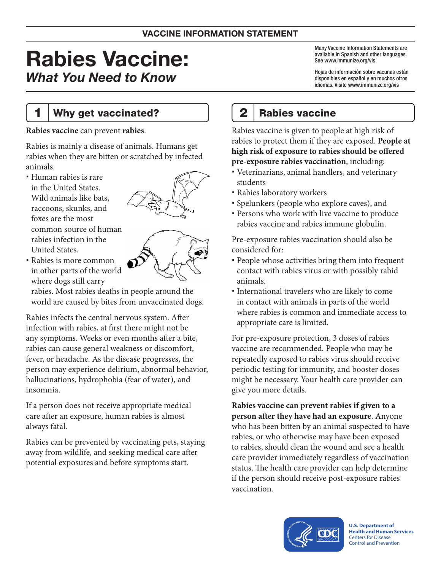# Rabies Vaccine: *What You Need to Know*

### 1 | Why get vaccinated?

**Rabies vaccine** can prevent **rabies**.

Rabies is mainly a disease of animals. Humans get rabies when they are bitten or scratched by infected animals.

 Human rabies is rare in the United States. Wild animals like bats, raccoons, skunks, and foxes are the most common source of human rabies infection in the United States.



 Rabies is more common in other parts of the world where dogs still carry

rabies. Most rabies deaths in people around the world are caused by bites from unvaccinated dogs.

Rabies infects the central nervous system. After infection with rabies, at first there might not be any symptoms. Weeks or even months after a bite, rabies can cause general weakness or discomfort, fever, or headache. As the disease progresses, the person may experience delirium, abnormal behavior, hallucinations, hydrophobia (fear of water), and insomnia.

If a person does not receive appropriate medical care after an exposure, human rabies is almost always fatal.

Rabies can be prevented by vaccinating pets, staying away from wildlife, and seeking medical care after potential exposures and before symptoms start.

Many Vaccine Information Statements are available in Spanish and other languages. See [www.immunize.org/vis](http://www.immunize.org/vis)

Hojas de información sobre vacunas están disponibles en español y en muchos otros idiomas. Visite [www.immunize.org/vis](http://www.immunize.org/vis)

# 2 | Rabies vaccine

Rabies vaccine is given to people at high risk of rabies to protect them if they are exposed. **People at high risk of exposure to rabies should be offered pre-exposure rabies vaccination**, including:

- Veterinarians, animal handlers, and veterinary students
- Rabies laboratory workers
- Spelunkers (people who explore caves), and
- Persons who work with live vaccine to produce rabies vaccine and rabies immune globulin.

Pre-exposure rabies vaccination should also be considered for:

- People whose activities bring them into frequent contact with rabies virus or with possibly rabid animals.
- International travelers who are likely to come in contact with animals in parts of the world where rabies is common and immediate access to appropriate care is limited.

For pre-exposure protection, 3 doses of rabies vaccine are recommended. People who may be repeatedly exposed to rabies virus should receive periodic testing for immunity, and booster doses might be necessary. Your health care provider can give you more details.

**Rabies vaccine can prevent rabies if given to a person after they have had an exposure**. Anyone who has been bitten by an animal suspected to have rabies, or who otherwise may have been exposed to rabies, should clean the wound and see a health care provider immediately regardless of vaccination status. The health care provider can help determine if the person should receive post-exposure rabies vaccination.



**U.S. Department of Health and Human Services**  Centers for Disease Control and Prevention